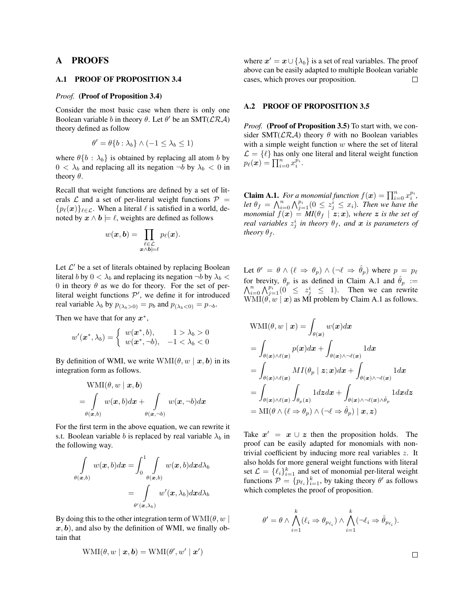## A PROOFS

#### A.1 PROOF OF PROPOSITION 3.4

#### *Proof.* (Proof of Proposition 3.4)

Consider the most basic case when there is only one Boolean variable *b* in theory  $\theta$ . Let  $\theta'$  be an SMT( $\mathcal{LRA}$ ) theory defined as follow

$$
\theta' = \theta\{b : \lambda_b\} \wedge (-1 \leq \lambda_b \leq 1)
$$

where  $\theta\{b : \lambda_b\}$  is obtained by replacing all atom *b* by  $0 < \lambda_b$  and replacing all its negation  $\neg b$  by  $\lambda_b < 0$  in theory  $\theta$ .

Recall that weight functions are defined by a set of literals  $\mathcal L$  and a set of per-literal weight functions  $\mathcal P$  =  ${p_{\ell}(\boldsymbol{x})}_{\ell \in \mathcal{L}}$ . When a literal  $\ell$  is satisfied in a world, denoted by  $x \wedge b \models \ell$ , weights are defined as follows

$$
w(\boldsymbol{x},\boldsymbol{b})=\prod_{\substack{\ell\in\mathcal{L}\\ \boldsymbol{x}\wedge\boldsymbol{b}=\ell}}p_{\ell}(\boldsymbol{x}).
$$

Let  $\mathcal{L}'$  be a set of literals obtained by replacing Boolean literal *b* by  $0 < \lambda_b$  and replacing its negation  $\neg b$  by  $\lambda_b <$ 0 in theory  $\theta$  as we do for theory. For the set of perliteral weight functions  $P'$ , we define it for introduced real variable  $\lambda_b$  by  $p_{(\lambda_b > 0)} = p_b$  and  $p_{(\lambda_b < 0)} = p_{\neg b}$ .

Then we have that for any  $x^*$ ,

$$
w'(\boldsymbol{x}^*, \lambda_b) = \begin{cases} w(\boldsymbol{x}^*, b), & 1 > \lambda_b > 0 \\ w(\boldsymbol{x}^*, \neg b), & -1 < \lambda_b < 0 \end{cases}
$$

By definition of WMI, we write  $WMI(\theta, w | x, b)$  in its integration form as follows.

$$
\mathrm{WMI}(\theta, w \mid \bm{x}, \bm{b}) \\ = \int\limits_{\theta(\bm{x},b)} w(\bm{x},b) d\bm{x} + \int\limits_{\theta(\bm{x},\neg b)} w(\bm{x},\neg b) d\bm{x}
$$

For the first term in the above equation, we can rewrite it s.t. Boolean variable *b* is replaced by real variable  $\lambda_b$  in the following way.

$$
\int_{\theta(\boldsymbol{x},b)} w(\boldsymbol{x},b) d\boldsymbol{x} = \int_0^1 \int_{\theta(\boldsymbol{x},b)} w(\boldsymbol{x},b) d\boldsymbol{x} d\lambda_b
$$
\n
$$
= \int_{\theta'(\boldsymbol{x},\lambda_b)} w'(\boldsymbol{x},\lambda_b) d\boldsymbol{x} d\lambda_b
$$

By doing this to the other integration term of  $\text{WMI}(\theta, w)$  $x, b$ , and also by the definition of WMI, we finally obtain that

$$
WMI(\theta, w \mid \boldsymbol{x}, \boldsymbol{b}) = WMI(\theta', w' \mid \boldsymbol{x}')
$$

where  $x' = x \cup \{\lambda_b\}$  is a set of real variables. The proof above can be easily adapted to multiple Boolean variable cases, which proves our proposition.  $\Box$ 

### A.2 PROOF OF PROPOSITION 3.5

*Proof.* (Proof of Proposition 3.5) To start with, we consider SMT( $\mathcal{LRA}$ ) theory  $\theta$  with no Boolean variables with a simple weight function *w* where the set of literal  $\mathcal{L} = \{ \ell \}$  has only one literal and literal weight function  $p_{\ell}(\boldsymbol{x}) = \prod_{i=0}^{n} x_i^{\tilde{p}_i}$ .

**Claim A.1.** For a monomial function  $f(x) = \prod_{i=0}^{n} x_i^{p_i}$ , let  $\theta_f = \bigwedge_{i=0}^n \bigwedge_{j=1}^{p_i} (0 \leq z_j^i \leq x_i)$ . Then we have the *monomial*  $f(x) = MI(\theta_f \mid z; x)$ *, where z is the set of real variables*  $z_j^i$  *in theory*  $\theta_f$ *, and*  $\boldsymbol{x}$  *is parameters of theory*  $\theta_f$ *.* 

Let  $\theta' = \theta \wedge (\ell \Rightarrow \theta_p) \wedge (\neg \ell \Rightarrow \hat{\theta}_p)$  where  $p = p_\ell$ for brevity,  $\theta_p$  is as defined in Claim A.1 and  $\hat{\theta}_p :=$  $\sum_{i=0}^{n} \bigwedge_{j=1}^{p_i} (0 \leq z_j^i \leq 1)$ . Then we can rewrite  $WMI(\theta, w | x)$  as MI problem by Claim A.1 as follows.

$$
\begin{aligned} \text{WMI}(\theta, w \mid \boldsymbol{x}) &= \int_{\theta(\boldsymbol{x})} w(\boldsymbol{x}) d\boldsymbol{x} \\ &= \int_{\theta(\boldsymbol{x}) \wedge \ell(\boldsymbol{x})} p(\boldsymbol{x}) d\boldsymbol{x} + \int_{\theta(\boldsymbol{x}) \wedge \neg \ell(\boldsymbol{x})} 1 d\boldsymbol{x} \\ &= \int_{\theta(\boldsymbol{x}) \wedge \ell(\boldsymbol{x})} MI(\theta_p \mid \boldsymbol{z}; \boldsymbol{x}) d\boldsymbol{x} + \int_{\theta(\boldsymbol{x}) \wedge \neg \ell(\boldsymbol{x})} 1 d\boldsymbol{x} \\ &= \int_{\theta(\boldsymbol{x}) \wedge \ell(\boldsymbol{x})} \int_{\theta_p(\boldsymbol{z})} 1 d\boldsymbol{z} d\boldsymbol{x} + \int_{\theta(\boldsymbol{x}) \wedge \neg \ell(\boldsymbol{x}) \wedge \hat{\theta}_p} 1 d\boldsymbol{x} d\boldsymbol{z} \\ &= \text{MI}(\theta \wedge (\ell \Rightarrow \theta_p) \wedge (\neg \ell \Rightarrow \hat{\theta}_p) \mid \boldsymbol{x}, \boldsymbol{z}) \end{aligned}
$$

Take  $x' = x \cup z$  then the proposition holds. The proof can be easily adapted for monomials with nontrivial coefficient by inducing more real variables *z*. It also holds for more general weight functions with literal set  $\mathcal{L} = \{\ell_i\}_{i=1}^k$  and set of monomial per-literal weight functions  $P = \{p_{\ell_i}\}_{i=1}^k$ , by taking theory  $\theta'$  as follows which completes the proof of proposition.

$$
\theta' = \theta \wedge \bigwedge_{i=1}^k (\ell_i \Rightarrow \theta_{p_{\ell_i}}) \wedge \bigwedge_{i=1}^k (\neg \ell_i \Rightarrow \hat{\theta}_{p_{\ell_i}}).
$$

 $\Box$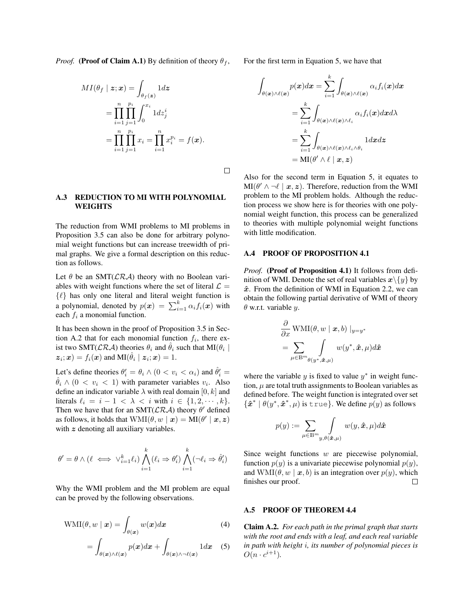*Proof.* (Proof of Claim A.1) By definition of theory  $\theta_f$ ,

$$
MI(\theta_f \mid \mathbf{z}; \mathbf{x}) = \int_{\theta_f(\mathbf{z})} 1 d\mathbf{z}
$$
  
= 
$$
\prod_{i=1}^n \prod_{j=1}^{p_i} \int_0^{x_i} 1 dz_j^i
$$
  
= 
$$
\prod_{i=1}^n \prod_{j=1}^{p_i} x_i = \prod_{i=1}^n x_i^{p_i} = f(\mathbf{x}).
$$

 $\Box$ 

### A.3 REDUCTION TO MI WITH POLYNOMIAL WEIGHTS

The reduction from WMI problems to MI problems in Proposition 3.5 can also be done for arbitrary polynomial weight functions but can increase treewidth of primal graphs. We give a formal description on this reduction as follows.

Let  $\theta$  be an SMT( $\mathcal{LRA}$ ) theory with no Boolean variables with weight functions where the set of literal  $\mathcal{L} =$ *{*`*}* has only one literal and literal weight function is a polynomial, denoted by  $p(x) = \sum_{i=1}^{k} \alpha_i f_i(x)$  with each *f<sup>i</sup>* a monomial function.

It has been shown in the proof of Proposition 3.5 in Section A.2 that for each monomial function  $f_i$ , there exist two SMT( $\mathcal{LRA}$ ) theories  $\theta_i$  and  $\tilde{\theta}_i$  such that MI( $\theta_i$  |  $z_i$ ;  $x$ ) =  $f_i(x)$  and MI( $\hat{\theta}_i \mid z_i$ ;  $x$ ) = 1.

Let's define theories  $\theta'_i = \theta_i \wedge (0 < v_i < \alpha_i)$  and  $\hat{\theta}'_i =$  $\ddot{\theta}_i \wedge (0 < v_i < 1)$  with parameter variables  $v_i$ . Also define an indicator variable  $\lambda$  with real domain [0, k] and literals  $\ell_i = i - 1 < \lambda < i$  with  $i \in \{1, 2, \dots, k\}$ . Then we have that for an SMT( $\mathcal{LRA}$ ) theory  $\theta'$  defined as follows, it holds that  $WMI(\theta, w | \mathbf{x}) = MI(\theta' | \mathbf{x}, \mathbf{z})$ with z denoting all auxiliary variables.

$$
\theta' = \theta \wedge (\ell \iff \vee_{i=1}^k \ell_i) \bigwedge_{i=1}^k (\ell_i \Rightarrow \theta'_i) \bigwedge_{i=1}^k (\neg \ell_i \Rightarrow \hat{\theta}'_i)
$$

Why the WMI problem and the MI problem are equal can be proved by the following observations.

$$
WMI(\theta, w \mid \boldsymbol{x}) = \int_{\theta(\boldsymbol{x})} w(\boldsymbol{x}) d\boldsymbol{x}
$$
 (4)

$$
= \int_{\theta(\boldsymbol{x}) \wedge \ell(\boldsymbol{x})} p(\boldsymbol{x}) d\boldsymbol{x} + \int_{\theta(\boldsymbol{x}) \wedge \neg \ell(\boldsymbol{x})} 1 d\boldsymbol{x} \quad (5)
$$

For the first term in Equation 5, we have that

$$
\int_{\theta(\boldsymbol{x})\wedge\ell(\boldsymbol{x})} p(\boldsymbol{x})d\boldsymbol{x} = \sum_{i=1}^k \int_{\theta(\boldsymbol{x})\wedge\ell(\boldsymbol{x})} \alpha_i f_i(\boldsymbol{x})d\boldsymbol{x} \n= \sum_{i=1}^k \int_{\theta(\boldsymbol{x})\wedge\ell(\boldsymbol{x})\wedge\ell_i} \alpha_i f_i(\boldsymbol{x})d\boldsymbol{x}d\lambda \n= \sum_{i=1}^k \int_{\theta(\boldsymbol{x})\wedge\ell(\boldsymbol{x})\wedge\ell_i\wedge\theta_i} 1 d\boldsymbol{x}d\boldsymbol{z} \n= MI(\theta' \wedge \ell \mid \boldsymbol{x}, \boldsymbol{z})
$$

Also for the second term in Equation 5, it equates to  $MI(\theta' \wedge \neg \ell \mid x, z)$ . Therefore, reduction from the WMI problem to the MI problem holds. Although the reduction process we show here is for theories with one polynomial weight function, this process can be generalized to theories with multiple polynomial weight functions with little modification.

### A.4 PROOF OF PROPOSITION 4.1

Proof. (Proof of Proposition 4.1) It follows from definition of WMI. Denote the set of real variables  $x \setminus \{y\}$  by *x*ˆ. From the definition of WMI in Equation 2.2, we can obtain the following partial derivative of WMI of theory  $\theta$  w.r.t. variable *y*.

$$
\frac{\partial}{\partial x} \text{WMI}(\theta, w \mid \boldsymbol{x}, b) \mid_{y=y^*}
$$
\n
$$
= \sum_{\mu \in \mathbb{B}^m} \int_{(\mathbf{y}^*, \hat{\boldsymbol{x}}, \mu)} w(\mathbf{y}^*, \hat{\boldsymbol{x}}, \mu) d\hat{\boldsymbol{x}}
$$

where the variable  $y$  is fixed to value  $y^*$  in weight function,  $\mu$  are total truth assignments to Boolean variables as defined before. The weight function is integrated over set  ${\hat{x}^* \mid \theta(y^*, \hat{x}^*, \mu) \text{ is true}}$ . We define  $p(y)$  as follows

$$
p(y):=\sum_{\mu\in\mathbb{B}^m}\int\limits_{y,\theta(\hat{\pmb{x}},\mu)}w(y,\hat{\pmb{x}},\mu)d\hat{\pmb{x}}
$$

Since weight functions *w* are piecewise polynomial, function  $p(y)$  is a univariate piecewise polynomial  $p(y)$ , and  $\text{WMI}(\theta, w \mid x, b)$  is an integration over  $p(y)$ , which finishes our proof. finishes our proof.

### A.5 PROOF OF THEOREM 4.4

Claim A.2. *For each path in the primal graph that starts with the root and ends with a leaf, and each real variable in path with height i, its number of polynomial pieces is*  $O(n \cdot c^{i+1})$ .